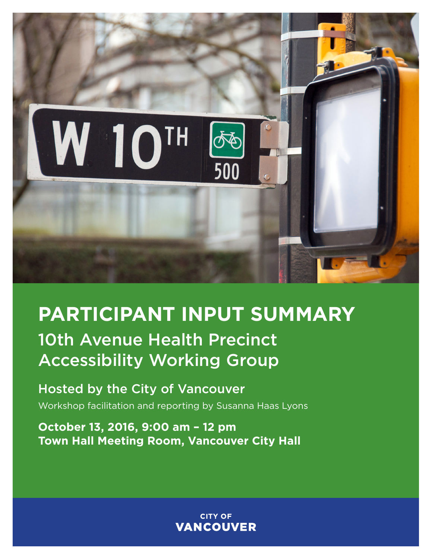

# **PARTICIPANT INPUT SUMMARY**

# 10th Avenue Health Precinct Accessibility Working Group

Hosted by the City of Vancouver Workshop facilitation and reporting by Susanna Haas Lyons

**October 13, 2016, 9:00 am – 12 pm Town Hall Meeting Room, Vancouver City Hall**

> **CITY OF VANCOUVER**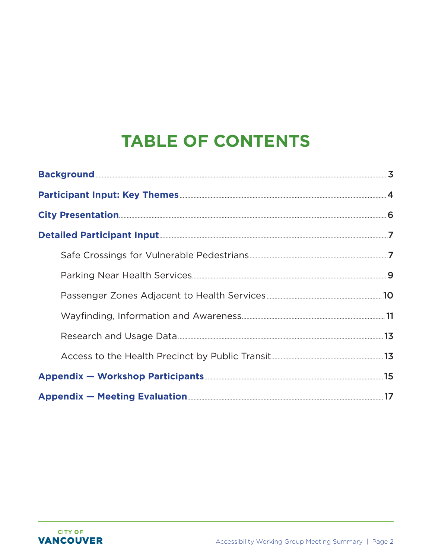# **TABLE OF CONTENTS**

| Detailed Participant Input [1] 27 Aug. 27 Aug. 27 Aug. 27 Aug. 27 Aug. 27 Aug. 27 Aug. 27 Aug. 27 Aug. 27 Aug. 27 Aug. 27 Aug. 27 Aug. 27 Aug. 27 Aug. 27 Aug. 27 Aug. 27 Aug. 27 Aug. 27 Aug. 27 Aug. 27 Aug. 27 Aug. 27 Aug. |  |
|--------------------------------------------------------------------------------------------------------------------------------------------------------------------------------------------------------------------------------|--|
|                                                                                                                                                                                                                                |  |
|                                                                                                                                                                                                                                |  |
|                                                                                                                                                                                                                                |  |
|                                                                                                                                                                                                                                |  |
|                                                                                                                                                                                                                                |  |
|                                                                                                                                                                                                                                |  |
|                                                                                                                                                                                                                                |  |
|                                                                                                                                                                                                                                |  |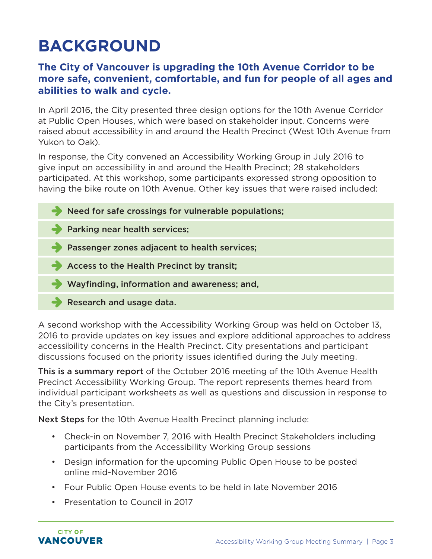# <span id="page-2-0"></span>**BACKGROUND**

#### **The City of Vancouver is upgrading the 10th Avenue Corridor to be more safe, convenient, comfortable, and fun for people of all ages and abilities to walk and cycle.**

In April 2016, the City presented three design options for the 10th Avenue Corridor at Public Open Houses, which were based on stakeholder input. Concerns were raised about accessibility in and around the Health Precinct (West 10th Avenue from Yukon to Oak).

In response, the City convened an Accessibility Working Group in July 2016 to give input on accessibility in and around the Health Precinct; 28 stakeholders participated. At this workshop, some participants expressed strong opposition to having the bike route on 10th Avenue. Other key issues that were raised included:

 $\blacktriangleright$  Need for safe crossings for vulnerable populations; **Parking near health services; Passenger zones adjacent to health services;** Access to the Health Precinct by transit; Wayfinding, information and awareness; and, Research and usage data.

A second workshop with the Accessibility Working Group was held on October 13, 2016 to provide updates on key issues and explore additional approaches to address accessibility concerns in the Health Precinct. City presentations and participant discussions focused on the priority issues identified during the July meeting.

This is a summary report of the October 2016 meeting of the 10th Avenue Health Precinct Accessibility Working Group. The report represents themes heard from individual participant worksheets as well as questions and discussion in response to the City's presentation.

Next Steps for the 10th Avenue Health Precinct planning include:

- Check-in on November 7, 2016 with Health Precinct Stakeholders including participants from the Accessibility Working Group sessions
- Design information for the upcoming Public Open House to be posted online mid-November 2016
- Four Public Open House events to be held in late November 2016
- Presentation to Council in 2017

**CITY OF** VANCOUVER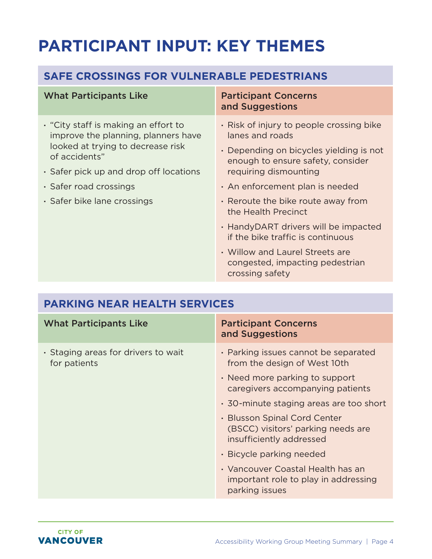# <span id="page-3-0"></span>**PARTICIPANT INPUT: KEY THEMES**

### **SAFE CROSSINGS FOR VULNERABLE PEDESTRIANS**

#### What Participants Like Participant Concerns

- **·** "City staff is making an effort to improve the planning, planners have looked at trying to decrease risk of accidents"
- **·** Safer pick up and drop off locations
- **·** Safer road crossings
- **·** Safer bike lane crossings

# and Suggestions

- **·** Risk of injury to people crossing bike lanes and roads
- **·** Depending on bicycles yielding is not enough to ensure safety, consider requiring dismounting
- **·** An enforcement plan is needed
- **·** Reroute the bike route away from the Health Precinct
- **·** HandyDART drivers will be impacted if the bike traffic is continuous
- **·** Willow and Laurel Streets are congested, impacting pedestrian crossing safety

| <b>PARKING NEAR HEALTH SERVICES</b>                 |                                                                                                |
|-----------------------------------------------------|------------------------------------------------------------------------------------------------|
| <b>What Participants Like</b>                       | <b>Participant Concerns</b><br>and Suggestions                                                 |
| • Staging areas for drivers to wait<br>for patients | · Parking issues cannot be separated<br>from the design of West 10th                           |
|                                                     | • Need more parking to support<br>caregivers accompanying patients                             |
|                                                     | • 30-minute staging areas are too short                                                        |
|                                                     | • Blusson Spinal Cord Center<br>(BSCC) visitors' parking needs are<br>insufficiently addressed |
|                                                     | • Bicycle parking needed                                                                       |
|                                                     | • Vancouver Coastal Health has an<br>important role to play in addressing<br>parking issues    |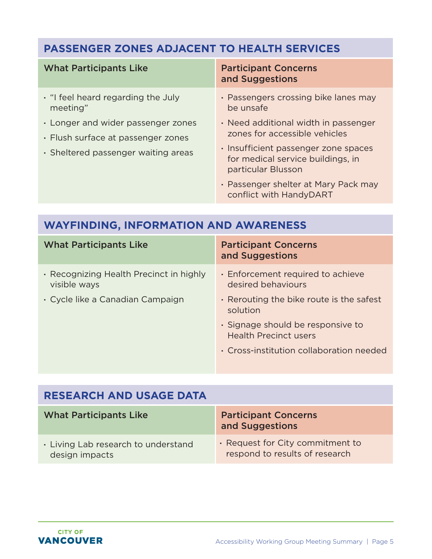## **PASSENGER ZONES ADJACENT TO HEALTH SERVICES**

| . "I feel heard regarding the July<br>be unsafe<br>meeting"                                                     | <b>Participant Concerns</b><br>and Suggestions                                                                                                                                                                                                                                      |
|-----------------------------------------------------------------------------------------------------------------|-------------------------------------------------------------------------------------------------------------------------------------------------------------------------------------------------------------------------------------------------------------------------------------|
| • Longer and wider passenger zones<br>• Flush surface at passenger zones<br>· Sheltered passenger waiting areas | · Passengers crossing bike lanes may<br>• Need additional width in passenger<br>zones for accessible vehicles<br>· Insufficient passenger zone spaces<br>for medical service buildings, in<br>particular Blusson<br>• Passenger shelter at Mary Pack may<br>conflict with HandyDART |

### **WAYFINDING, INFORMATION AND AWARENESS**

| <b>What Participants Like</b>                           | <b>Participant Concerns</b><br>and Suggestions                    |
|---------------------------------------------------------|-------------------------------------------------------------------|
| • Recognizing Health Precinct in highly<br>visible ways | · Enforcement required to achieve<br>desired behaviours           |
| • Cycle like a Canadian Campaign                        | . Rerouting the bike route is the safest<br>solution              |
|                                                         | · Signage should be responsive to<br><b>Health Precinct users</b> |
|                                                         | • Cross-institution collaboration needed                          |

| <b>RESEARCH AND USAGE DATA</b>                        |                                                                    |
|-------------------------------------------------------|--------------------------------------------------------------------|
| <b>What Participants Like</b>                         | <b>Participant Concerns</b><br>and Suggestions                     |
| . Living Lab research to understand<br>design impacts | . Request for City commitment to<br>respond to results of research |

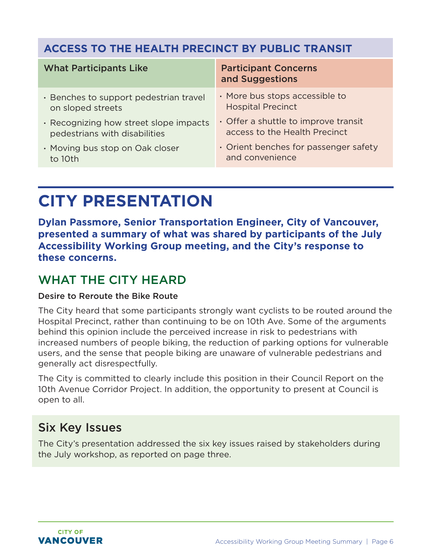### <span id="page-5-0"></span>**ACCESS TO THE HEALTH PRECINCT BY PUBLIC TRANSIT**

| <b>What Participants Like</b>          | <b>Participant Concerns</b><br>and Suggestions |
|----------------------------------------|------------------------------------------------|
| · Benches to support pedestrian travel | · More bus stops accessible to                 |
| on sloped streets                      | <b>Hospital Precinct</b>                       |
| · Recognizing how street slope impacts | • Offer a shuttle to improve transit           |
| pedestrians with disabilities          | access to the Health Precinct                  |
| • Moving bus stop on Oak closer        | • Orient benches for passenger safety          |
| to 10th                                | and convenience                                |

# **CITY PRESENTATION**

**Dylan Passmore, Senior Transportation Engineer, City of Vancouver, presented a summary of what was shared by participants of the July Accessibility Working Group meeting, and the City's response to these concerns.**

## WHAT THE CITY HEARD

#### Desire to Reroute the Bike Route

The City heard that some participants strongly want cyclists to be routed around the Hospital Precinct, rather than continuing to be on 10th Ave. Some of the arguments behind this opinion include the perceived increase in risk to pedestrians with increased numbers of people biking, the reduction of parking options for vulnerable users, and the sense that people biking are unaware of vulnerable pedestrians and generally act disrespectfully.

The City is committed to clearly include this position in their Council Report on the 10th Avenue Corridor Project. In addition, the opportunity to present at Council is open to all.

## Six Key Issues

The City's presentation addressed the six key issues raised by stakeholders during the July workshop, as reported on page three.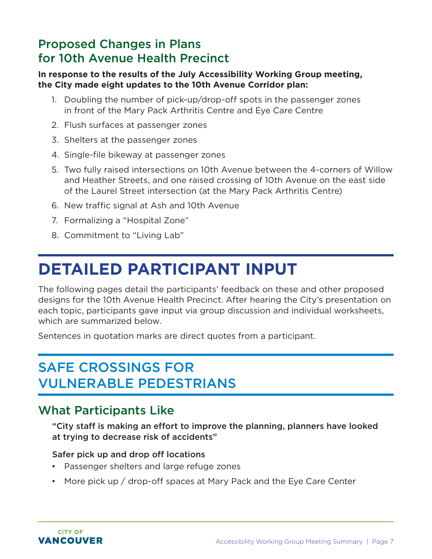## <span id="page-6-0"></span>Proposed Changes in Plans for 10th Avenue Health Precinct

#### **In response to the results of the July Accessibility Working Group meeting, the City made eight updates to the 10th Avenue Corridor plan:**

- 1. Doubling the number of pick-up/drop-off spots in the passenger zones in front of the Mary Pack Arthritis Centre and Eye Care Centre
- 2. Flush surfaces at passenger zones
- 3. Shelters at the passenger zones
- 4. Single-file bikeway at passenger zones
- 5. Two fully raised intersections on 10th Avenue between the 4-corners of Willow and Heather Streets, and one raised crossing of 10th Avenue on the east side of the Laurel Street intersection (at the Mary Pack Arthritis Centre)
- 6. New traffic signal at Ash and 10th Avenue
- 7. Formalizing a "Hospital Zone"
- 8. Commitment to "Living Lab"

# **DETAILED PARTICIPANT INPUT**

The following pages detail the participants' feedback on these and other proposed designs for the 10th Avenue Health Precinct. After hearing the City's presentation on each topic, participants gave input via group discussion and individual worksheets, which are summarized below.

Sentences in quotation marks are direct quotes from a participant.

## SAFE CROSSINGS FOR VULNERABLE PEDESTRIANS

## What Participants Like

"City staff is making an effort to improve the planning, planners have looked at trying to decrease risk of accidents"

#### Safer pick up and drop off locations

- Passenger shelters and large refuge zones
- More pick up / drop-off spaces at Mary Pack and the Eye Care Center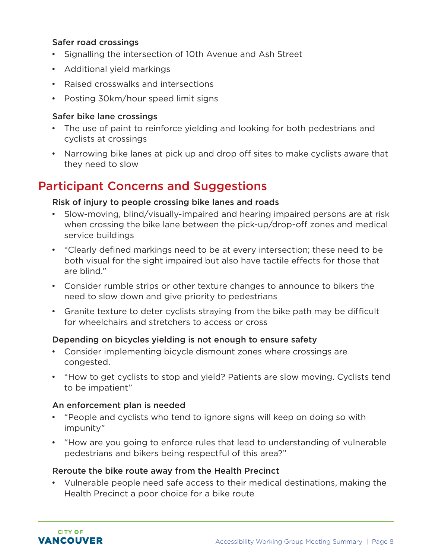#### Safer road crossings

- Signalling the intersection of 10th Avenue and Ash Street
- Additional yield markings
- Raised crosswalks and intersections
- Posting 30km/hour speed limit signs

#### Safer bike lane crossings

- The use of paint to reinforce yielding and looking for both pedestrians and cyclists at crossings
- Narrowing bike lanes at pick up and drop off sites to make cyclists aware that they need to slow

### Participant Concerns and Suggestions

#### Risk of injury to people crossing bike lanes and roads

- Slow-moving, blind/visually-impaired and hearing impaired persons are at risk when crossing the bike lane between the pick-up/drop-off zones and medical service buildings
- "Clearly defined markings need to be at every intersection; these need to be both visual for the sight impaired but also have tactile effects for those that are blind."
- Consider rumble strips or other texture changes to announce to bikers the need to slow down and give priority to pedestrians
- Granite texture to deter cyclists straying from the bike path may be difficult for wheelchairs and stretchers to access or cross

#### Depending on bicycles yielding is not enough to ensure safety

- Consider implementing bicycle dismount zones where crossings are congested.
- "How to get cyclists to stop and yield? Patients are slow moving. Cyclists tend to be impatient"

#### An enforcement plan is needed

- "People and cyclists who tend to ignore signs will keep on doing so with impunity"
- "How are you going to enforce rules that lead to understanding of vulnerable pedestrians and bikers being respectful of this area?"

#### Reroute the bike route away from the Health Precinct

• Vulnerable people need safe access to their medical destinations, making the Health Precinct a poor choice for a bike route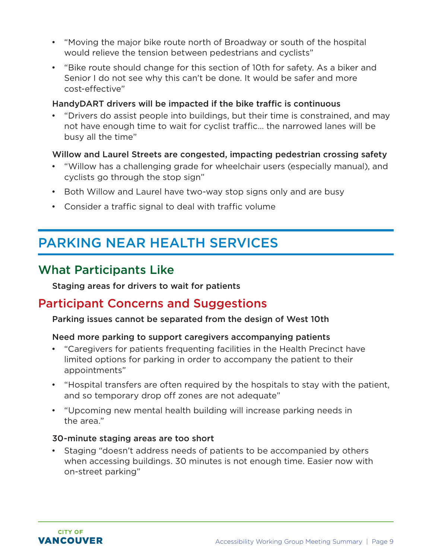- <span id="page-8-0"></span>• "Moving the major bike route north of Broadway or south of the hospital would relieve the tension between pedestrians and cyclists"
- "Bike route should change for this section of 10th for safety. As a biker and Senior I do not see why this can't be done. It would be safer and more cost-effective"

#### HandyDART drivers will be impacted if the bike traffic is continuous

• "Drivers do assist people into buildings, but their time is constrained, and may not have enough time to wait for cyclist traffic… the narrowed lanes will be busy all the time"

#### Willow and Laurel Streets are congested, impacting pedestrian crossing safety

- "Willow has a challenging grade for wheelchair users (especially manual), and cyclists go through the stop sign"
- Both Willow and Laurel have two-way stop signs only and are busy
- Consider a traffic signal to deal with traffic volume

## PARKING NEAR HEALTH SERVICES

### What Participants Like

Staging areas for drivers to wait for patients

### Participant Concerns and Suggestions

#### Parking issues cannot be separated from the design of West 10th

#### Need more parking to support caregivers accompanying patients

- "Caregivers for patients frequenting facilities in the Health Precinct have limited options for parking in order to accompany the patient to their appointments"
- "Hospital transfers are often required by the hospitals to stay with the patient, and so temporary drop off zones are not adequate"
- "Upcoming new mental health building will increase parking needs in the area."

#### 30-minute staging areas are too short

• Staging "doesn't address needs of patients to be accompanied by others when accessing buildings. 30 minutes is not enough time. Easier now with on-street parking"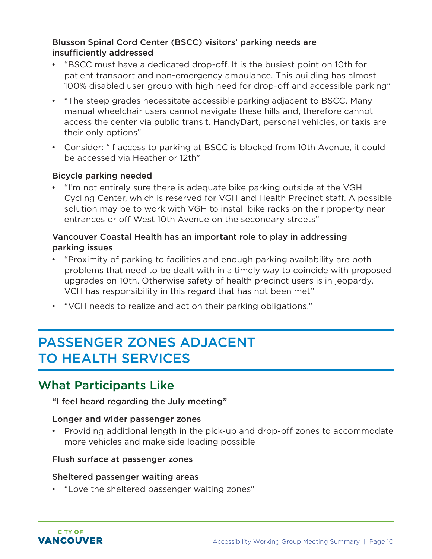#### <span id="page-9-0"></span>Blusson Spinal Cord Center (BSCC) visitors' parking needs are insufficiently addressed

- "BSCC must have a dedicated drop-off. It is the busiest point on 10th for patient transport and non-emergency ambulance. This building has almost 100% disabled user group with high need for drop-off and accessible parking"
- "The steep grades necessitate accessible parking adjacent to BSCC. Many manual wheelchair users cannot navigate these hills and, therefore cannot access the center via public transit. HandyDart, personal vehicles, or taxis are their only options"
- Consider: "if access to parking at BSCC is blocked from 10th Avenue, it could be accessed via Heather or 12th"

#### Bicycle parking needed

• "I'm not entirely sure there is adequate bike parking outside at the VGH Cycling Center, which is reserved for VGH and Health Precinct staff. A possible solution may be to work with VGH to install bike racks on their property near entrances or off West 10th Avenue on the secondary streets"

#### Vancouver Coastal Health has an important role to play in addressing parking issues

- "Proximity of parking to facilities and enough parking availability are both problems that need to be dealt with in a timely way to coincide with proposed upgrades on 10th. Otherwise safety of health precinct users is in jeopardy. VCH has responsibility in this regard that has not been met"
- "VCH needs to realize and act on their parking obligations."

## PASSENGER ZONES ADJACENT TO HEALTH SERVICES

## What Participants Like

#### "I feel heard regarding the July meeting"

#### Longer and wider passenger zones

• Providing additional length in the pick-up and drop-off zones to accommodate more vehicles and make side loading possible

#### Flush surface at passenger zones

#### Sheltered passenger waiting areas

• "Love the sheltered passenger waiting zones"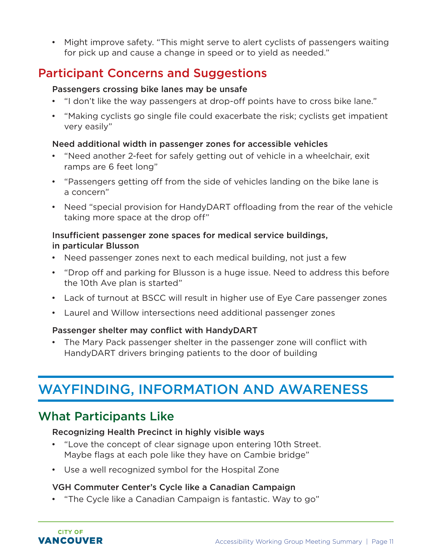<span id="page-10-0"></span>• Might improve safety. "This might serve to alert cyclists of passengers waiting for pick up and cause a change in speed or to yield as needed."

## Participant Concerns and Suggestions

#### Passengers crossing bike lanes may be unsafe

- "I don't like the way passengers at drop-off points have to cross bike lane."
- "Making cyclists go single file could exacerbate the risk; cyclists get impatient very easily"

#### Need additional width in passenger zones for accessible vehicles

- "Need another 2-feet for safely getting out of vehicle in a wheelchair, exit ramps are 6 feet long"
- "Passengers getting off from the side of vehicles landing on the bike lane is a concern"
- Need "special provision for HandyDART offloading from the rear of the vehicle taking more space at the drop off"

#### Insufficient passenger zone spaces for medical service buildings, in particular Blusson

- Need passenger zones next to each medical building, not just a few
- "Drop off and parking for Blusson is a huge issue. Need to address this before the 10th Ave plan is started"
- Lack of turnout at BSCC will result in higher use of Eye Care passenger zones
- Laurel and Willow intersections need additional passenger zones

#### Passenger shelter may conflict with HandyDART

• The Mary Pack passenger shelter in the passenger zone will conflict with HandyDART drivers bringing patients to the door of building

## WAYFINDING, INFORMATION AND AWARENESS

## What Participants Like

**CITY OF** VANCOUVER

#### Recognizing Health Precinct in highly visible ways

- "Love the concept of clear signage upon entering 10th Street. Maybe flags at each pole like they have on Cambie bridge"
- Use a well recognized symbol for the Hospital Zone

#### VGH Commuter Center's Cycle like a Canadian Campaign

• "The Cycle like a Canadian Campaign is fantastic. Way to go"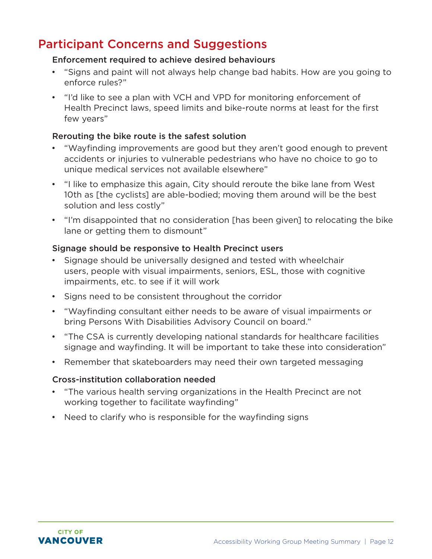## Participant Concerns and Suggestions

#### Enforcement required to achieve desired behaviours

- "Signs and paint will not always help change bad habits. How are you going to enforce rules?"
- "I'd like to see a plan with VCH and VPD for monitoring enforcement of Health Precinct laws, speed limits and bike-route norms at least for the first few years"

#### Rerouting the bike route is the safest solution

- "Wayfinding improvements are good but they aren't good enough to prevent accidents or injuries to vulnerable pedestrians who have no choice to go to unique medical services not available elsewhere"
- "I like to emphasize this again, City should reroute the bike lane from West 10th as [the cyclists] are able-bodied; moving them around will be the best solution and less costly"
- "I'm disappointed that no consideration [has been given] to relocating the bike lane or getting them to dismount"

#### Signage should be responsive to Health Precinct users

- Signage should be universally designed and tested with wheelchair users, people with visual impairments, seniors, ESL, those with cognitive impairments, etc. to see if it will work
- Signs need to be consistent throughout the corridor
- "Wayfinding consultant either needs to be aware of visual impairments or bring Persons With Disabilities Advisory Council on board."
- "The CSA is currently developing national standards for healthcare facilities signage and wayfinding. It will be important to take these into consideration"
- Remember that skateboarders may need their own targeted messaging

#### Cross-institution collaboration needed

- "The various health serving organizations in the Health Precinct are not working together to facilitate wayfinding"
- Need to clarify who is responsible for the wayfinding signs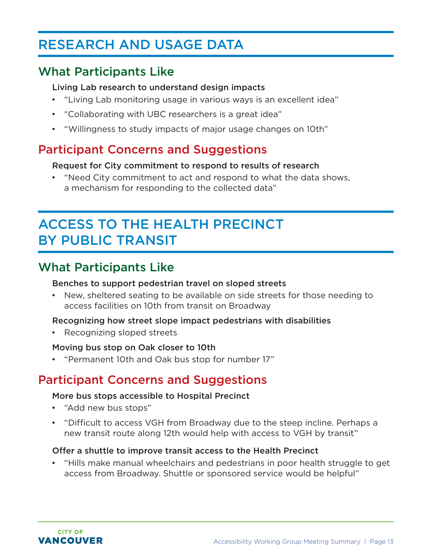## <span id="page-12-0"></span>RESEARCH AND USAGE DATA

## What Participants Like

#### Living Lab research to understand design impacts

- "Living Lab monitoring usage in various ways is an excellent idea"
- "Collaborating with UBC researchers is a great idea"
- "Willingness to study impacts of major usage changes on 10th"

## Participant Concerns and Suggestions

#### Request for City commitment to respond to results of research

• "Need City commitment to act and respond to what the data shows, a mechanism for responding to the collected data"

## ACCESS TO THE HEALTH PRECINCT BY PUBLIC TRANSIT

## What Participants Like

#### Benches to support pedestrian travel on sloped streets

• New, sheltered seating to be available on side streets for those needing to access facilities on 10th from transit on Broadway

#### Recognizing how street slope impact pedestrians with disabilities

• Recognizing sloped streets

#### Moving bus stop on Oak closer to 10th

• "Permanent 10th and Oak bus stop for number 17"

## Participant Concerns and Suggestions

#### More bus stops accessible to Hospital Precinct

- "Add new bus stops"
- "Difficult to access VGH from Broadway due to the steep incline. Perhaps a new transit route along 12th would help with access to VGH by transit"

#### Offer a shuttle to improve transit access to the Health Precinct

• "Hills make manual wheelchairs and pedestrians in poor health struggle to get access from Broadway. Shuttle or sponsored service would be helpful"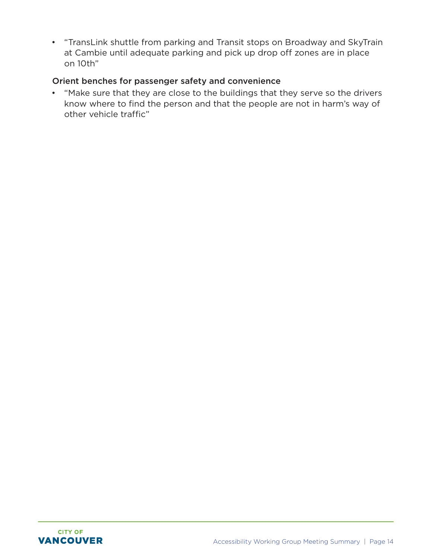• "TransLink shuttle from parking and Transit stops on Broadway and SkyTrain at Cambie until adequate parking and pick up drop off zones are in place on 10th"

#### Orient benches for passenger safety and convenience

• "Make sure that they are close to the buildings that they serve so the drivers know where to find the person and that the people are not in harm's way of other vehicle traffic"

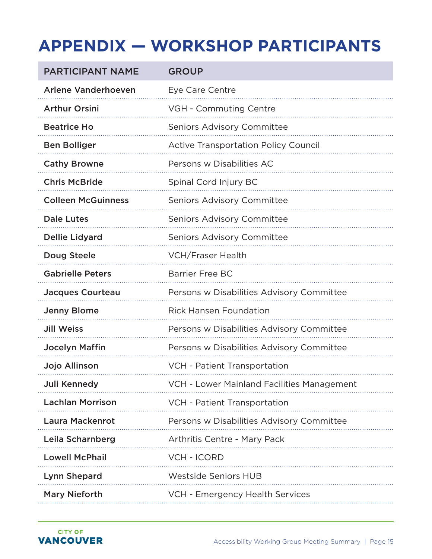# <span id="page-14-0"></span>**APPENDIX — WORKSHOP PARTICIPANTS**

| <b>PARTICIPANT NAME</b>    | <b>GROUP</b>                                |
|----------------------------|---------------------------------------------|
| <b>Arlene Vanderhoeven</b> | Eye Care Centre                             |
| <b>Arthur Orsini</b>       | VGH - Commuting Centre                      |
| <b>Beatrice Ho</b>         | <b>Seniors Advisory Committee</b>           |
| <b>Ben Bolliger</b>        | <b>Active Transportation Policy Council</b> |
| <b>Cathy Browne</b>        | Persons w Disabilities AC                   |
| <b>Chris McBride</b>       | Spinal Cord Injury BC                       |
| <b>Colleen McGuinness</b>  | <b>Seniors Advisory Committee</b>           |
| <b>Dale Lutes</b>          | <b>Seniors Advisory Committee</b>           |
| <b>Dellie Lidyard</b>      | <b>Seniors Advisory Committee</b>           |
| <b>Doug Steele</b>         | <b>VCH/Fraser Health</b>                    |
| <b>Gabrielle Peters</b>    | <b>Barrier Free BC</b>                      |
| <b>Jacques Courteau</b>    | Persons w Disabilities Advisory Committee   |
| <b>Jenny Blome</b>         | <b>Rick Hansen Foundation</b>               |
| <b>Jill Weiss</b>          | Persons w Disabilities Advisory Committee   |
| <b>Jocelyn Maffin</b>      | Persons w Disabilities Advisory Committee   |
| Jojo Allinson              | VCH - Patient Transportation                |
| Juli Kennedy               | VCH - Lower Mainland Facilities Management  |
| <b>Lachlan Morrison</b>    | VCH - Patient Transportation                |
| <b>Laura Mackenrot</b>     | Persons w Disabilities Advisory Committee   |
| Leila Scharnberg           | Arthritis Centre - Mary Pack                |
| <b>Lowell McPhail</b>      | <b>VCH - ICORD</b>                          |
| <b>Lynn Shepard</b>        | <b>Westside Seniors HUB</b>                 |
| <b>Mary Nieforth</b>       | VCH - Emergency Health Services             |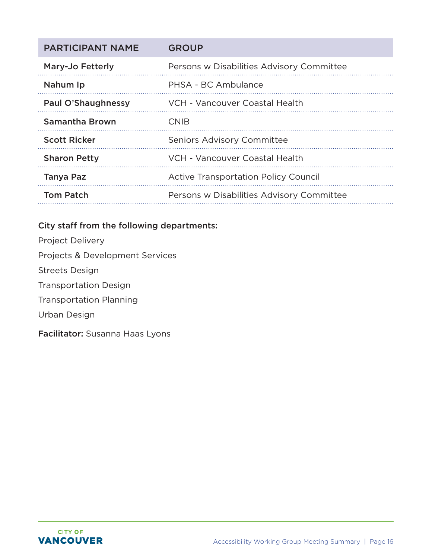| <b>PARTICIPANT NAME</b> | <b>GROUP</b>                                |
|-------------------------|---------------------------------------------|
| Mary-Jo Fetterly        | Persons w Disabilities Advisory Committee   |
| Nahum Ip                | PHSA - BC Ambulance                         |
| Paul O'Shaughnessy      | VCH - Vancouver Coastal Health              |
| <b>Samantha Brown</b>   | <b>CNIB</b>                                 |
| <b>Scott Ricker</b>     | <b>Seniors Advisory Committee</b>           |
| <b>Sharon Petty</b>     | VCH - Vancouver Coastal Health              |
| <b>Tanya Paz</b>        | <b>Active Transportation Policy Council</b> |
| <b>Tom Patch</b>        | Persons w Disabilities Advisory Committee   |

#### City staff from the following departments:

- Project Delivery
- Projects & Development Services
- Streets Design
- Transportation Design
- Transportation Planning
- Urban Design
- Facilitator: Susanna Haas Lyons